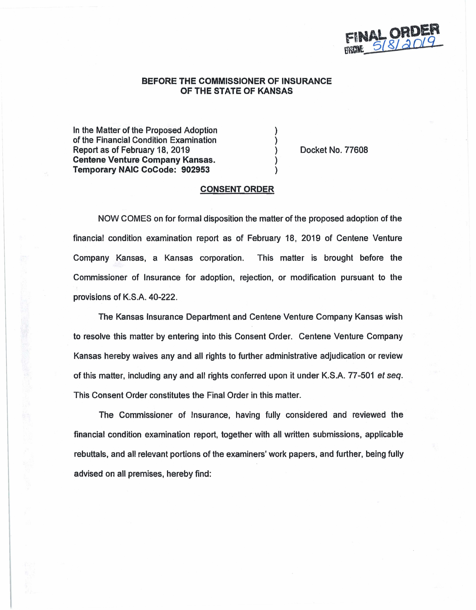

# **BEFORE THE COMMISSIONER OF INSURANCE OF THE STATE OF KANSAS**

) ) ) ) )

In the Matter of the Proposed Adoption of the Financial Condition Examination Report as of February 18, 2019 **Centene Venture Company Kansas. Temporary NAIC CoCode: 902953** 

Docket No. 77608

## **CONSENT ORDER**

NOW COMES on for formal disposition the matter of the proposed adoption of the financial condition examination report as of February 18, 2019 of Centene Venture Company Kansas, a Kansas corporation. This matter is brought before the Commissioner of Insurance for adoption, rejection, or modification pursuant to the provisions of K.S.A. 40-222.

The Kansas Insurance Department and Centene Venture Company Kansas wish to resolve this matter by entering into this Consent Order. Centene Venture Company Kansas hereby waives any and all rights to further administrative adjudication or review of this matter, including any and all rights conferred upon it under K.S.A. 77-501 et seq. This Consent Order constitutes the Final Order in this matter.

The Commissioner of Insurance, having fully considered and reviewed the financial condition examination report, together with all written submissions, applicable rebuttals, and all relevant portions of the examiners' work papers, and further, being fully advised on all premises, hereby find: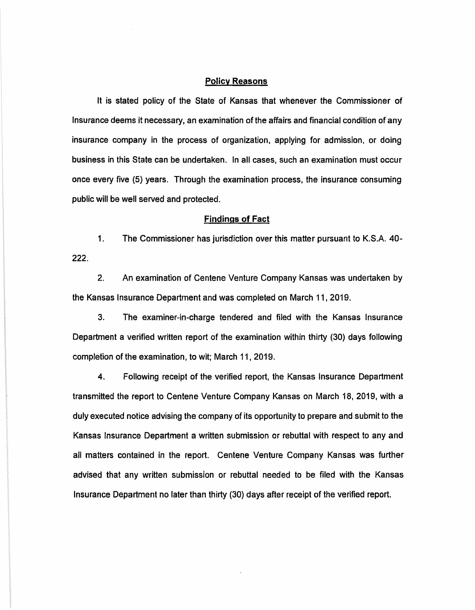## **Policy Reasons**

It is stated policy of the State of Kansas that whenever the Commissioner of Insurance deems it necessary, an examination of the affairs and financial condition of any insurance company in the process of organization. applying for admission, or doing business in this State can be undertaken. In all cases, such an examination must occur once every five (5) years. Through the examination process, the insurance consuming public will be well served and protected.

#### **Findings of Fact**

1. The Commissioner has jurisdiction over this matter pursuant to K.S.A. 40- **222.** 

2. An examination of Centene Venture Company Kansas was undertaken by the Kansas Insurance Department and was completed on March 11, 2019.

3. The examiner-in-charge tendered and filed with the Kansas Insurance Department a verified written report of the examination within thirty (30) days following completion of the examination, to wit; March 11. 2019.

4. Following receipt of the verified report, the Kansas Insurance Department transmitted the report to Centene Venture Company Kansas on March 18, 2019, with a duly executed notice advising the company of its opportunity to prepare and submit to the Kansas Insurance Department a written submission or rebuttal with respect to any and all matters contained in the report. Centene Venture Company Kansas was further advised that any written submission or rebuttal needed to be filed with the Kansas Insurance Department no later than thirty (30) days after receipt of the verified report.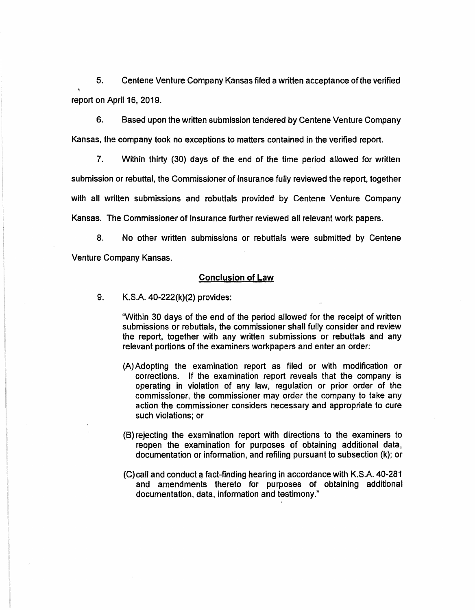5. Centene Venture Company Kansas filed a written acceptance of the verified report on April 16, 2019.

6. Based upon the written submission tendered by Centene Venture Company Kansas, the company took no exceptions to matters contained in the verified report.

7. Within thirty (30) days of the end of the time period allowed for written submission or rebuttal, the Commissioner of Insurance fully reviewed the report, together with all written submissions and rebuttals provided by Centene Venture Company Kansas. The Commissioner of Insurance further reviewed all relevant work papers.

8. No other written submissions or rebuttals were submitted by Centene Venture Company Kansas.

#### Conclusion of Law

9. K.S.A. 40-222(k)(2) provides:

"Within 30 days of the end of the period allowed for the receipt of written submissions or rebuttals, the commissioner shall fully consider and review the report, together with any written submissions or rebuttals and any relevant portions of the examiners workpapers and enter an order:

- (A) Adopting the examination report as filed or with modification or corrections. If the examination report reveals that the company is operating in violation of any law, regulation or prior order of the commissioner, the commissioner may order the company to take any action the commissioner considers necessary and appropriate to cure such violations; or
- (8) rejecting the examination report with directions to the examiners to reopen the examination for purposes of obtaining additional data, documentation or information, and refiling pursuant to subsection (k); or
- (C)call and conduct a fact-finding hearing in accordance with K.S.A. 40-281 and amendments thereto for purposes of obtaining additional documentation, data, information and testimony."